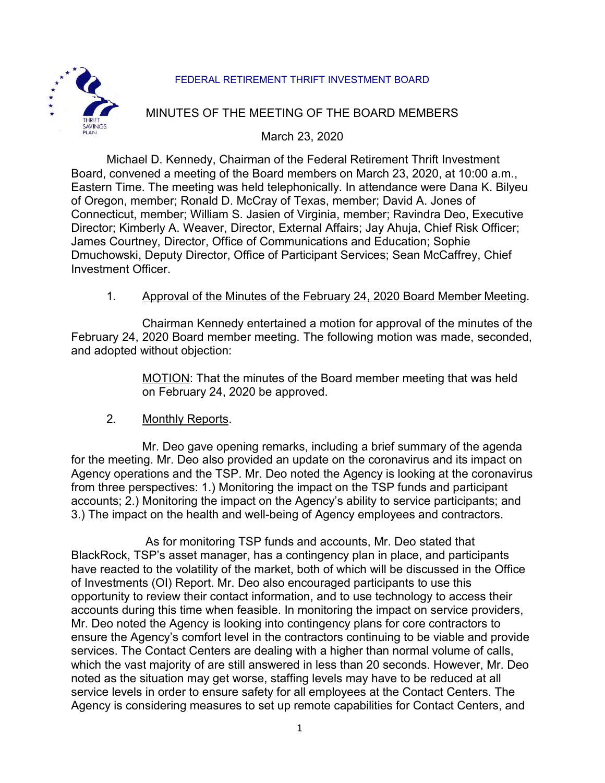## FEDERAL RETIREMENT THRIFT INVESTMENT BOARD



# MINUTES OF THE MEETING OF THE BOARD MEMBERS

March 23, 2020

Michael D. Kennedy, Chairman of the Federal Retirement Thrift Investment Board, convened a meeting of the Board members on March 23, 2020, at 10:00 a.m., Eastern Time. The meeting was held telephonically. In attendance were Dana K. Bilyeu of Oregon, member; Ronald D. McCray of Texas, member; David A. Jones of Connecticut, member; William S. Jasien of Virginia, member; Ravindra Deo, Executive Director; Kimberly A. Weaver, Director, External Affairs; Jay Ahuja, Chief Risk Officer; James Courtney, Director, Office of Communications and Education; Sophie Dmuchowski, Deputy Director, Office of Participant Services; Sean McCaffrey, Chief Investment Officer.

### 1. Approval of the Minutes of the February 24, 2020 Board Member Meeting.

Chairman Kennedy entertained a motion for approval of the minutes of the February 24, 2020 Board member meeting. The following motion was made, seconded, and adopted without objection:

> MOTION: That the minutes of the Board member meeting that was held on February 24, 2020 be approved.

#### 2. Monthly Reports.

Mr. Deo gave opening remarks, including a brief summary of the agenda for the meeting. Mr. Deo also provided an update on the coronavirus and its impact on Agency operations and the TSP. Mr. Deo noted the Agency is looking at the coronavirus from three perspectives: 1.) Monitoring the impact on the TSP funds and participant accounts; 2.) Monitoring the impact on the Agency's ability to service participants; and 3.) The impact on the health and well-being of Agency employees and contractors.

As for monitoring TSP funds and accounts, Mr. Deo stated that BlackRock, TSP's asset manager, has a contingency plan in place, and participants have reacted to the volatility of the market, both of which will be discussed in the Office of Investments (OI) Report. Mr. Deo also encouraged participants to use this opportunity to review their contact information, and to use technology to access their accounts during this time when feasible. In monitoring the impact on service providers, Mr. Deo noted the Agency is looking into contingency plans for core contractors to ensure the Agency's comfort level in the contractors continuing to be viable and provide services. The Contact Centers are dealing with a higher than normal volume of calls, which the vast majority of are still answered in less than 20 seconds. However, Mr. Deo noted as the situation may get worse, staffing levels may have to be reduced at all service levels in order to ensure safety for all employees at the Contact Centers. The Agency is considering measures to set up remote capabilities for Contact Centers, and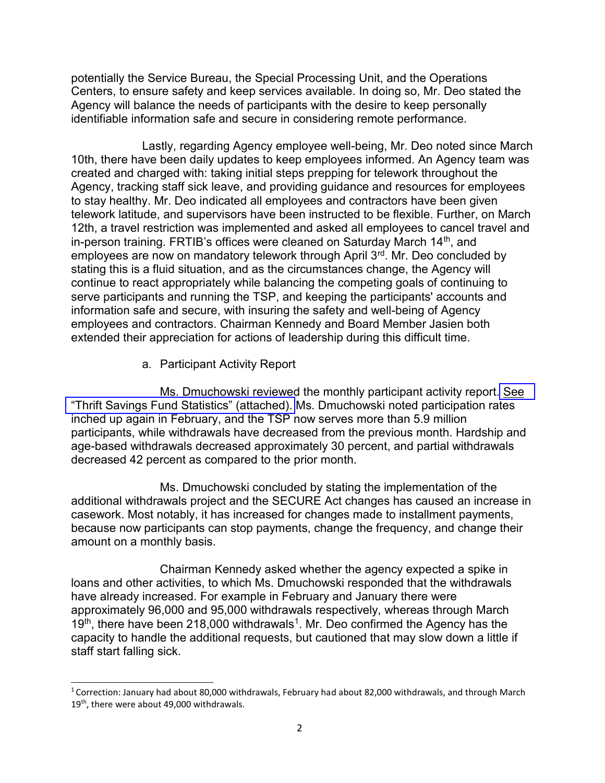potentially the Service Bureau, the Special Processing Unit, and the Operations Centers, to ensure safety and keep services available. In doing so, Mr. Deo stated the Agency will balance the needs of participants with the desire to keep personally identifiable information safe and secure in considering remote performance.

Lastly, regarding Agency employee well-being, Mr. Deo noted since March 10th, there have been daily updates to keep employees informed. An Agency team was created and charged with: taking initial steps prepping for telework throughout the Agency, tracking staff sick leave, and providing guidance and resources for employees to stay healthy. Mr. Deo indicated all employees and contractors have been given telework latitude, and supervisors have been instructed to be flexible. Further, on March 12th, a travel restriction was implemented and asked all employees to cancel travel and in-person training. FRTIB's offices were cleaned on Saturday March 14th, and employees are now on mandatory telework through April 3rd. Mr. Deo concluded by stating this is a fluid situation, and as the circumstances change, the Agency will continue to react appropriately while balancing the competing goals of continuing to serve participants and running the TSP, and keeping the participants' accounts and information safe and secure, with insuring the safety and well-being of Agency employees and contractors. Chairman Kennedy and Board Member Jasien both extended their appreciation for actions of leadership during this difficult time.

a. Participant Activity Report

Ms. Dmuchowski reviewed the monthly participant activity report. [See](https://www.frtib.gov/pdf/minutes/2020/Mar/MM-2020Mar-Att1.pdf)  ["Thrift Savings Fund Statistics" \(attached\).](https://www.frtib.gov/pdf/minutes/2020/Mar/MM-2020Mar-Att1.pdf) Ms. Dmuchowski noted participation rates inched up again in February, and the TSP now serves more than 5.9 million participants, while withdrawals have decreased from the previous month. Hardship and age-based withdrawals decreased approximately 30 percent, and partial withdrawals decreased 42 percent as compared to the prior month.

Ms. Dmuchowski concluded by stating the implementation of the additional withdrawals project and the SECURE Act changes has caused an increase in casework. Most notably, it has increased for changes made to installment payments, because now participants can stop payments, change the frequency, and change their amount on a monthly basis.

Chairman Kennedy asked whether the agency expected a spike in loans and other activities, to which Ms. Dmuchowski responded that the withdrawals have already increased. For example in February and January there were approximately 96,000 and 95,000 withdrawals respectively, whereas through March 19<sup>th</sup>, there have been 218,000 withdrawals<sup>1</sup>. Mr. Deo confirmed the Agency has the capacity to handle the additional requests, but cautioned that may slow down a little if staff start falling sick.

<sup>1</sup>Correction: January had about 80,000 withdrawals, February had about 82,000 withdrawals, and through March 19<sup>th</sup>, there were about 49,000 withdrawals.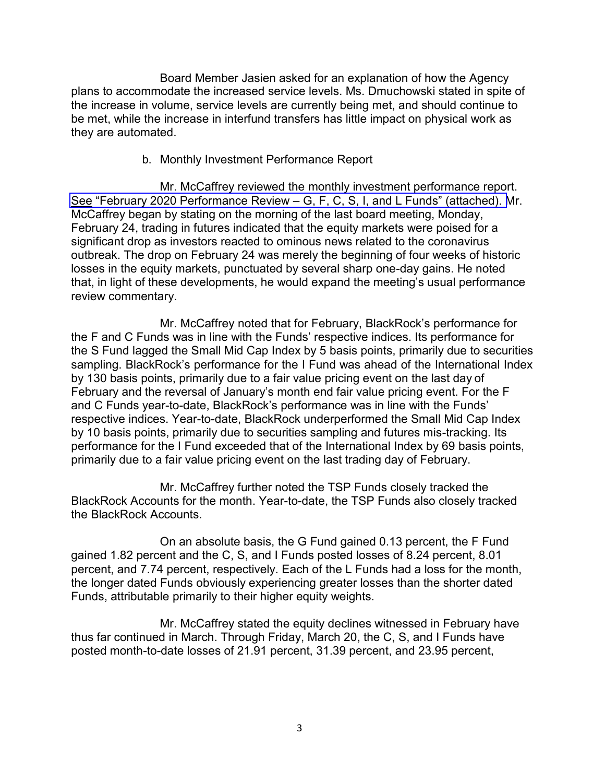Board Member Jasien asked for an explanation of how the Agency plans to accommodate the increased service levels. Ms. Dmuchowski stated in spite of the increase in volume, service levels are currently being met, and should continue to be met, while the increase in interfund transfers has little impact on physical work as they are automated.

#### b. Monthly Investment Performance Report

Mr. McCaffrey reviewed the monthly investment performance report. [See "February 2020 Performance Review – G, F, C, S, I, and L Funds" \(attached\). M](https://www.frtib.gov/pdf/minutes/2020/Mar/MM-2020Mar-Att2.pdf)r. McCaffrey began by stating on the morning of the last board meeting, Monday, February 24, trading in futures indicated that the equity markets were poised for a significant drop as investors reacted to ominous news related to the coronavirus outbreak. The drop on February 24 was merely the beginning of four weeks of historic losses in the equity markets, punctuated by several sharp one-day gains. He noted that, in light of these developments, he would expand the meeting's usual performance review commentary.

Mr. McCaffrey noted that for February, BlackRock's performance for the F and C Funds was in line with the Funds' respective indices. Its performance for the S Fund lagged the Small Mid Cap Index by 5 basis points, primarily due to securities sampling. BlackRock's performance for the I Fund was ahead of the International Index by 130 basis points, primarily due to a fair value pricing event on the last day of February and the reversal of January's month end fair value pricing event. For the F and C Funds year-to-date, BlackRock's performance was in line with the Funds' respective indices. Year-to-date, BlackRock underperformed the Small Mid Cap Index by 10 basis points, primarily due to securities sampling and futures mis-tracking. Its performance for the I Fund exceeded that of the International Index by 69 basis points, primarily due to a fair value pricing event on the last trading day of February.

Mr. McCaffrey further noted the TSP Funds closely tracked the BlackRock Accounts for the month. Year-to-date, the TSP Funds also closely tracked the BlackRock Accounts.

On an absolute basis, the G Fund gained 0.13 percent, the F Fund gained 1.82 percent and the C, S, and I Funds posted losses of 8.24 percent, 8.01 percent, and 7.74 percent, respectively. Each of the L Funds had a loss for the month, the longer dated Funds obviously experiencing greater losses than the shorter dated Funds, attributable primarily to their higher equity weights.

Mr. McCaffrey stated the equity declines witnessed in February have thus far continued in March. Through Friday, March 20, the C, S, and I Funds have posted month-to-date losses of 21.91 percent, 31.39 percent, and 23.95 percent,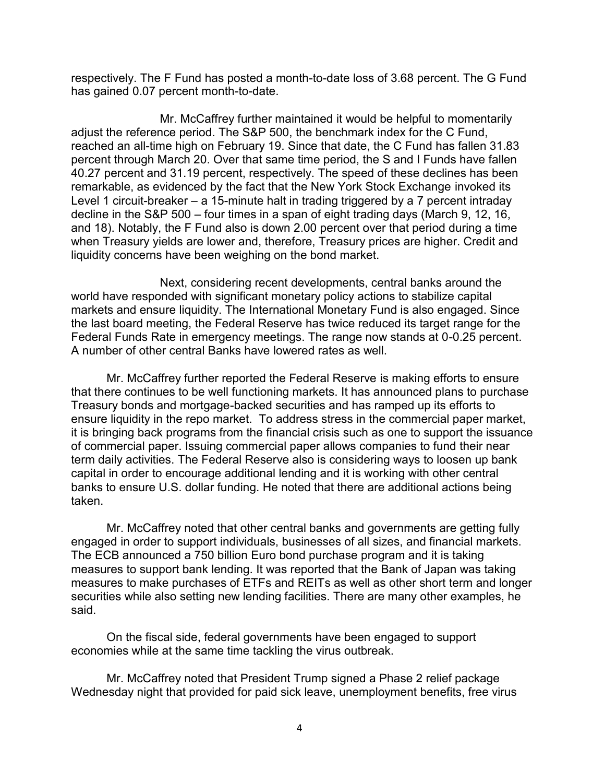respectively. The F Fund has posted a month-to-date loss of 3.68 percent. The G Fund has gained 0.07 percent month-to-date.

Mr. McCaffrey further maintained it would be helpful to momentarily adjust the reference period. The S&P 500, the benchmark index for the C Fund, reached an all-time high on February 19. Since that date, the C Fund has fallen 31.83 percent through March 20. Over that same time period, the S and I Funds have fallen 40.27 percent and 31.19 percent, respectively. The speed of these declines has been remarkable, as evidenced by the fact that the New York Stock Exchange invoked its Level 1 circuit-breaker – a 15-minute halt in trading triggered by a 7 percent intraday decline in the S&P 500 – four times in a span of eight trading days (March 9, 12, 16, and 18). Notably, the F Fund also is down 2.00 percent over that period during a time when Treasury yields are lower and, therefore, Treasury prices are higher. Credit and liquidity concerns have been weighing on the bond market.

Next, considering recent developments, central banks around the world have responded with significant monetary policy actions to stabilize capital markets and ensure liquidity. The International Monetary Fund is also engaged. Since the last board meeting, the Federal Reserve has twice reduced its target range for the Federal Funds Rate in emergency meetings. The range now stands at 0-0.25 percent. A number of other central Banks have lowered rates as well.

Mr. McCaffrey further reported the Federal Reserve is making efforts to ensure that there continues to be well functioning markets. It has announced plans to purchase Treasury bonds and mortgage-backed securities and has ramped up its efforts to ensure liquidity in the repo market. To address stress in the commercial paper market, it is bringing back programs from the financial crisis such as one to support the issuance of commercial paper. Issuing commercial paper allows companies to fund their near term daily activities. The Federal Reserve also is considering ways to loosen up bank capital in order to encourage additional lending and it is working with other central banks to ensure U.S. dollar funding. He noted that there are additional actions being taken.

Mr. McCaffrey noted that other central banks and governments are getting fully engaged in order to support individuals, businesses of all sizes, and financial markets. The ECB announced a 750 billion Euro bond purchase program and it is taking measures to support bank lending. It was reported that the Bank of Japan was taking measures to make purchases of ETFs and REITs as well as other short term and longer securities while also setting new lending facilities. There are many other examples, he said.

On the fiscal side, federal governments have been engaged to support economies while at the same time tackling the virus outbreak.

Mr. McCaffrey noted that President Trump signed a Phase 2 relief package Wednesday night that provided for paid sick leave, unemployment benefits, free virus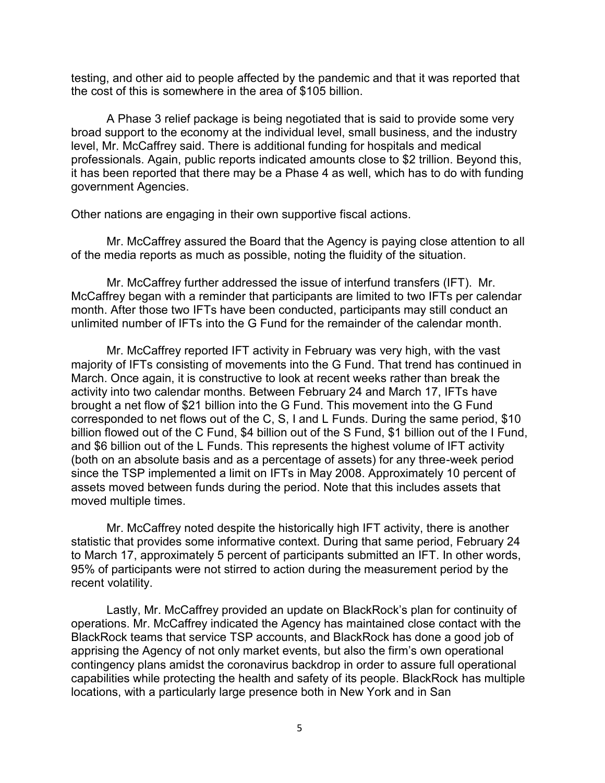testing, and other aid to people affected by the pandemic and that it was reported that the cost of this is somewhere in the area of \$105 billion.

A Phase 3 relief package is being negotiated that is said to provide some very broad support to the economy at the individual level, small business, and the industry level, Mr. McCaffrey said. There is additional funding for hospitals and medical professionals. Again, public reports indicated amounts close to \$2 trillion. Beyond this, it has been reported that there may be a Phase 4 as well, which has to do with funding government Agencies.

Other nations are engaging in their own supportive fiscal actions.

Mr. McCaffrey assured the Board that the Agency is paying close attention to all of the media reports as much as possible, noting the fluidity of the situation.

Mr. McCaffrey further addressed the issue of interfund transfers (IFT). Mr. McCaffrey began with a reminder that participants are limited to two IFTs per calendar month. After those two IFTs have been conducted, participants may still conduct an unlimited number of IFTs into the G Fund for the remainder of the calendar month.

Mr. McCaffrey reported IFT activity in February was very high, with the vast majority of IFTs consisting of movements into the G Fund. That trend has continued in March. Once again, it is constructive to look at recent weeks rather than break the activity into two calendar months. Between February 24 and March 17, IFTs have brought a net flow of \$21 billion into the G Fund. This movement into the G Fund corresponded to net flows out of the C, S, I and L Funds. During the same period, \$10 billion flowed out of the C Fund, \$4 billion out of the S Fund, \$1 billion out of the I Fund, and \$6 billion out of the L Funds. This represents the highest volume of IFT activity (both on an absolute basis and as a percentage of assets) for any three-week period since the TSP implemented a limit on IFTs in May 2008. Approximately 10 percent of assets moved between funds during the period. Note that this includes assets that moved multiple times.

Mr. McCaffrey noted despite the historically high IFT activity, there is another statistic that provides some informative context. During that same period, February 24 to March 17, approximately 5 percent of participants submitted an IFT. In other words, 95% of participants were not stirred to action during the measurement period by the recent volatility.

Lastly, Mr. McCaffrey provided an update on BlackRock's plan for continuity of operations. Mr. McCaffrey indicated the Agency has maintained close contact with the BlackRock teams that service TSP accounts, and BlackRock has done a good job of apprising the Agency of not only market events, but also the firm's own operational contingency plans amidst the coronavirus backdrop in order to assure full operational capabilities while protecting the health and safety of its people. BlackRock has multiple locations, with a particularly large presence both in New York and in San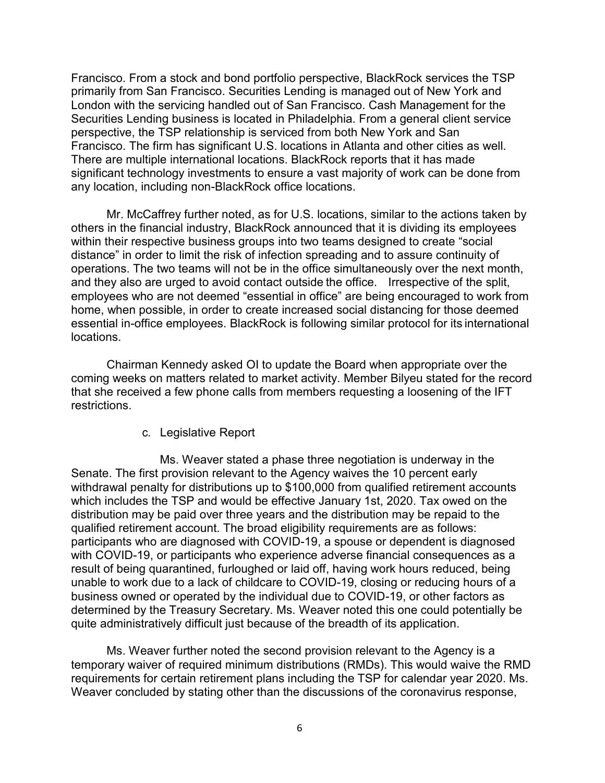Francisco. From a stock and bond portfolio perspective, BlackRock services the TSP primarily from San Francisco. Securities Lending is managed out of New York and London with the servicing handled out of San Francisco. Cash Management for the Securities Lending business is located in Philadelphia. From a general client service perspective, the TSP relationship is serviced from both New York and San Francisco. The firm has significant U.S. locations in Atlanta and other cities as well. There are multiple international locations. BlackRock reports that it has made significant technology investments to ensure a vast majority of work can be done from any location, including non-BlackRock office locations.

Mr. McCaffrey further noted, as for U.S. locations, similar to the actions taken by others in the financial industry, BlackRock announced that it is dividing its employees within their respective business groups into two teams designed to create "social distance" in order to limit the risk of infection spreading and to assure continuity of operations. The two teams will not be in the office simultaneously over the next month, and they also are urged to avoid contact outside the office. Irrespective of the split, employees who are not deemed "essential in office" are being encouraged to work from home, when possible, in order to create increased social distancing for those deemed essential in-office employees. BlackRock is following similar protocol for its international locations.

Chairman Kennedy asked OI to update the Board when appropriate over the coming weeks on matters related to market activity. Member Bilyeu stated for the record that she received a few phone calls from members requesting a loosening of the IFT restrictions.

c. Legislative Report

Ms. Weaver stated a phase three negotiation is underway in the Senate. The first provision relevant to the Agency waives the 10 percent early withdrawal penalty for distributions up to \$100,000 from qualified retirement accounts which includes the TSP and would be effective January 1st, 2020. Tax owed on the distribution may be paid over three years and the distribution may be repaid to the qualified retirement account. The broad eligibility requirements are as follows: participants who are diagnosed with COVID-19, a spouse or dependent is diagnosed with COVID-19, or participants who experience adverse financial consequences as a result of being quarantined, furloughed or laid off, having work hours reduced, being unable to work due to a lack of childcare to COVID-19, closing or reducing hours of a business owned or operated by the individual due to COVID-19, or other factors as determined by the Treasury Secretary. Ms. Weaver noted this one could potentially be quite administratively difficult just because of the breadth of its application.

Ms. Weaver further noted the second provision relevant to the Agency is a temporary waiver of required minimum distributions (RMDs). This would waive the RMD requirements for certain retirement plans including the TSP for calendar year 2020. Ms. Weaver concluded by stating other than the discussions of the coronavirus response,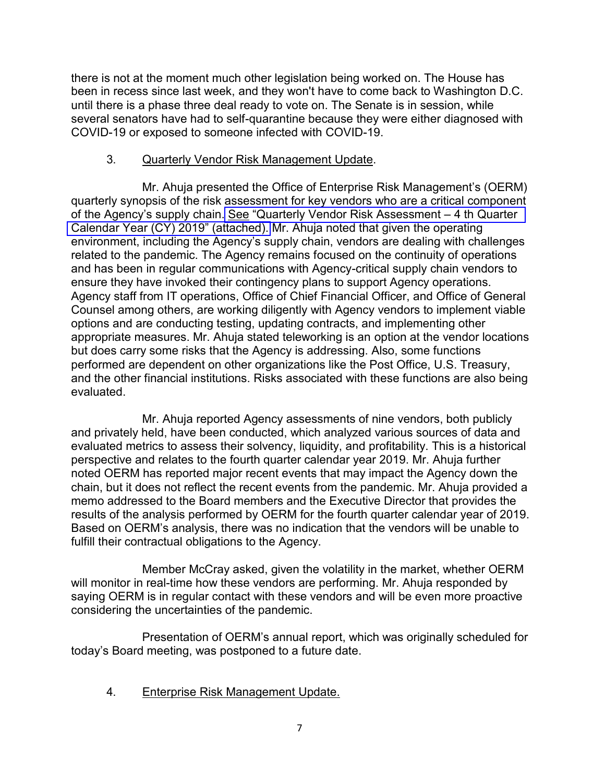there is not at the moment much other legislation being worked on. The House has been in recess since last week, and they won't have to come back to Washington D.C. until there is a phase three deal ready to vote on. The Senate is in session, while several senators have had to self-quarantine because they were either diagnosed with COVID-19 or exposed to someone infected with COVID-19.

### 3. Quarterly Vendor Risk Management Update.

Mr. Ahuja presented the Office of Enterprise Risk Management's (OERM) quarterly synopsis of the risk assessment for key vendors who are a critical component of the Agency's supply chain. [See "Quarterly Vendor Risk Assessment – 4 th Quarter](https://www.frtib.gov/pdf/minutes/2020/Mar/MM-2020Mar-Att3.pdf)  [Calendar Year \(CY\) 2019" \(attached\).](https://www.frtib.gov/pdf/minutes/2020/Mar/MM-2020Mar-Att3.pdf) Mr. Ahuja noted that given the operating environment, including the Agency's supply chain, vendors are dealing with challenges related to the pandemic. The Agency remains focused on the continuity of operations and has been in regular communications with Agency-critical supply chain vendors to ensure they have invoked their contingency plans to support Agency operations. Agency staff from IT operations, Office of Chief Financial Officer, and Office of General Counsel among others, are working diligently with Agency vendors to implement viable options and are conducting testing, updating contracts, and implementing other appropriate measures. Mr. Ahuja stated teleworking is an option at the vendor locations but does carry some risks that the Agency is addressing. Also, some functions performed are dependent on other organizations like the Post Office, U.S. Treasury, and the other financial institutions. Risks associated with these functions are also being evaluated.

Mr. Ahuja reported Agency assessments of nine vendors, both publicly and privately held, have been conducted, which analyzed various sources of data and evaluated metrics to assess their solvency, liquidity, and profitability. This is a historical perspective and relates to the fourth quarter calendar year 2019. Mr. Ahuja further noted OERM has reported major recent events that may impact the Agency down the chain, but it does not reflect the recent events from the pandemic. Mr. Ahuja provided a memo addressed to the Board members and the Executive Director that provides the results of the analysis performed by OERM for the fourth quarter calendar year of 2019. Based on OERM's analysis, there was no indication that the vendors will be unable to fulfill their contractual obligations to the Agency.

Member McCray asked, given the volatility in the market, whether OERM will monitor in real-time how these vendors are performing. Mr. Ahuja responded by saying OERM is in regular contact with these vendors and will be even more proactive considering the uncertainties of the pandemic.

Presentation of OERM's annual report, which was originally scheduled for today's Board meeting, was postponed to a future date.

4. Enterprise Risk Management Update.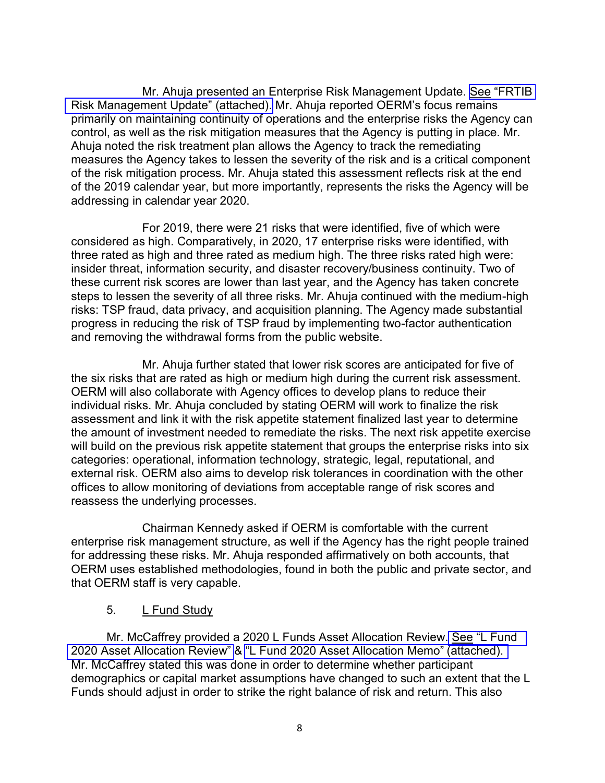Mr. Ahuja presented an Enterprise Risk Management Update. See "FRTIB" [Risk Management Update" \(attached\).](https://www.frtib.gov/pdf/minutes/2020/Mar/MM-2020Mar-Att4.pdf) Mr. Ahuja reported OERM's focus remains primarily on maintaining continuity of operations and the enterprise risks the Agency can control, as well as the risk mitigation measures that the Agency is putting in place. Mr. Ahuja noted the risk treatment plan allows the Agency to track the remediating measures the Agency takes to lessen the severity of the risk and is a critical component of the risk mitigation process. Mr. Ahuja stated this assessment reflects risk at the end of the 2019 calendar year, but more importantly, represents the risks the Agency will be addressing in calendar year 2020.

For 2019, there were 21 risks that were identified, five of which were considered as high. Comparatively, in 2020, 17 enterprise risks were identified, with three rated as high and three rated as medium high. The three risks rated high were: insider threat, information security, and disaster recovery/business continuity. Two of these current risk scores are lower than last year, and the Agency has taken concrete steps to lessen the severity of all three risks. Mr. Ahuja continued with the medium-high risks: TSP fraud, data privacy, and acquisition planning. The Agency made substantial progress in reducing the risk of TSP fraud by implementing two-factor authentication and removing the withdrawal forms from the public website.

Mr. Ahuja further stated that lower risk scores are anticipated for five of the six risks that are rated as high or medium high during the current risk assessment. OERM will also collaborate with Agency offices to develop plans to reduce their individual risks. Mr. Ahuja concluded by stating OERM will work to finalize the risk assessment and link it with the risk appetite statement finalized last year to determine the amount of investment needed to remediate the risks. The next risk appetite exercise will build on the previous risk appetite statement that groups the enterprise risks into six categories: operational, information technology, strategic, legal, reputational, and external risk. OERM also aims to develop risk tolerances in coordination with the other offices to allow monitoring of deviations from acceptable range of risk scores and reassess the underlying processes.

Chairman Kennedy asked if OERM is comfortable with the current enterprise risk management structure, as well if the Agency has the right people trained for addressing these risks. Mr. Ahuja responded affirmatively on both accounts, that OERM uses established methodologies, found in both the public and private sector, and that OERM staff is very capable.

#### 5. L Fund Study

Mr. McCaffrey provided a 2020 L Funds Asset Allocation Review. [See "L Fund](https://www.frtib.gov/pdf/minutes/2020/Mar/MM-2020Mar-Att5.pdf)  [2020 Asset Allocation Review"](https://www.frtib.gov/pdf/minutes/2020/Mar/MM-2020Mar-Att5.pdf) & ["L Fund 2020 Asset Allocation Memo" \(attached\).](https://www.frtib.gov/pdf/minutes/2020/Mar/MM-2020Mar-Att6.pdf)  Mr. McCaffrey stated this was done in order to determine whether participant demographics or capital market assumptions have changed to such an extent that the L Funds should adjust in order to strike the right balance of risk and return. This also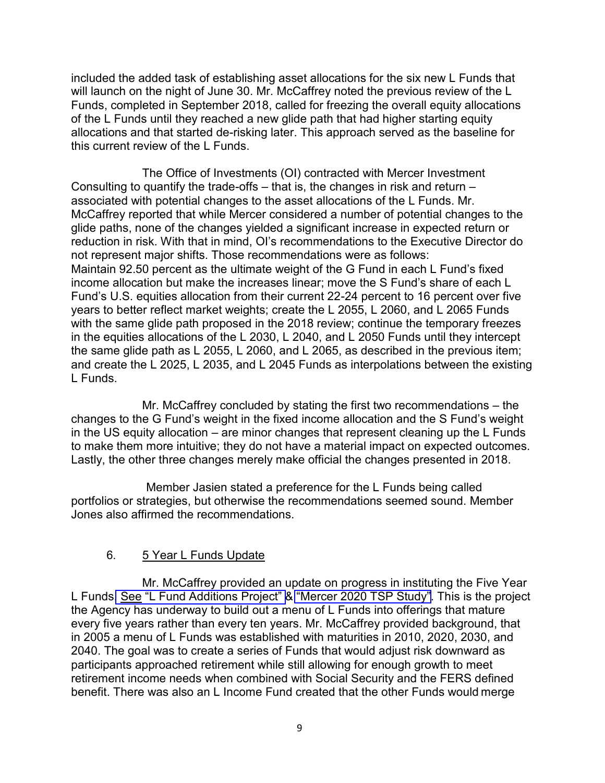included the added task of establishing asset allocations for the six new L Funds that will launch on the night of June 30. Mr. McCaffrey noted the previous review of the L Funds, completed in September 2018, called for freezing the overall equity allocations of the L Funds until they reached a new glide path that had higher starting equity allocations and that started de-risking later. This approach served as the baseline for this current review of the L Funds.

The Office of Investments (OI) contracted with Mercer Investment Consulting to quantify the trade-offs – that is, the changes in risk and return – associated with potential changes to the asset allocations of the L Funds. Mr. McCaffrey reported that while Mercer considered a number of potential changes to the glide paths, none of the changes yielded a significant increase in expected return or reduction in risk. With that in mind, OI's recommendations to the Executive Director do not represent major shifts. Those recommendations were as follows: Maintain 92.50 percent as the ultimate weight of the G Fund in each L Fund's fixed income allocation but make the increases linear; move the S Fund's share of each L Fund's U.S. equities allocation from their current 22-24 percent to 16 percent over five years to better reflect market weights; create the L 2055, L 2060, and L 2065 Funds with the same glide path proposed in the 2018 review; continue the temporary freezes in the equities allocations of the L 2030, L 2040, and L 2050 Funds until they intercept the same glide path as L 2055, L 2060, and L 2065, as described in the previous item; and create the L 2025, L 2035, and L 2045 Funds as interpolations between the existing L Funds.

Mr. McCaffrey concluded by stating the first two recommendations – the changes to the G Fund's weight in the fixed income allocation and the S Fund's weight in the US equity allocation – are minor changes that represent cleaning up the L Funds to make them more intuitive; they do not have a material impact on expected outcomes. Lastly, the other three changes merely make official the changes presented in 2018.

Member Jasien stated a preference for the L Funds being called portfolios or strategies, but otherwise the recommendations seemed sound. Member Jones also affirmed the recommendations.

# 6. 5 Year L Funds Update

Mr. McCaffrey provided an update on progress in instituting the Five Year L Funds[. See "L Fund Additions Project" &](https://www.frtib.gov/pdf/minutes/2020/Mar/MM-2020Mar-Att7.pdf) ["Mercer 2020 TSP Study"](https://www.frtib.gov/pdf/minutes/2020/Mar/MM-2020Mar-Att8.pdf). This is the project the Agency has underway to build out a menu of L Funds into offerings that mature every five years rather than every ten years. Mr. McCaffrey provided background, that in 2005 a menu of L Funds was established with maturities in 2010, 2020, 2030, and 2040. The goal was to create a series of Funds that would adjust risk downward as participants approached retirement while still allowing for enough growth to meet retirement income needs when combined with Social Security and the FERS defined benefit. There was also an L Income Fund created that the other Funds would merge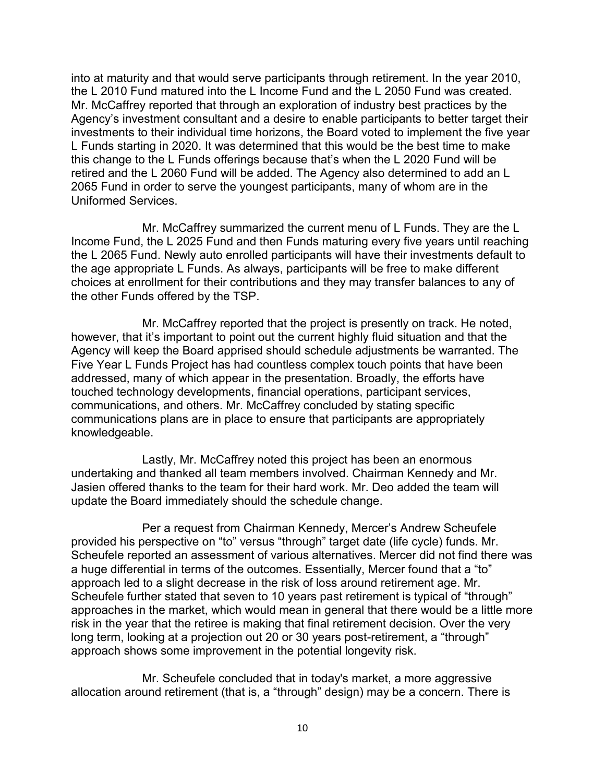into at maturity and that would serve participants through retirement. In the year 2010, the L 2010 Fund matured into the L Income Fund and the L 2050 Fund was created. Mr. McCaffrey reported that through an exploration of industry best practices by the Agency's investment consultant and a desire to enable participants to better target their investments to their individual time horizons, the Board voted to implement the five year L Funds starting in 2020. It was determined that this would be the best time to make this change to the L Funds offerings because that's when the L 2020 Fund will be retired and the L 2060 Fund will be added. The Agency also determined to add an L 2065 Fund in order to serve the youngest participants, many of whom are in the Uniformed Services.

Mr. McCaffrey summarized the current menu of L Funds. They are the L Income Fund, the L 2025 Fund and then Funds maturing every five years until reaching the L 2065 Fund. Newly auto enrolled participants will have their investments default to the age appropriate L Funds. As always, participants will be free to make different choices at enrollment for their contributions and they may transfer balances to any of the other Funds offered by the TSP.

Mr. McCaffrey reported that the project is presently on track. He noted, however, that it's important to point out the current highly fluid situation and that the Agency will keep the Board apprised should schedule adjustments be warranted. The Five Year L Funds Project has had countless complex touch points that have been addressed, many of which appear in the presentation. Broadly, the efforts have touched technology developments, financial operations, participant services, communications, and others. Mr. McCaffrey concluded by stating specific communications plans are in place to ensure that participants are appropriately knowledgeable.

Lastly, Mr. McCaffrey noted this project has been an enormous undertaking and thanked all team members involved. Chairman Kennedy and Mr. Jasien offered thanks to the team for their hard work. Mr. Deo added the team will update the Board immediately should the schedule change.

Per a request from Chairman Kennedy, Mercer's Andrew Scheufele provided his perspective on "to" versus "through" target date (life cycle) funds. Mr. Scheufele reported an assessment of various alternatives. Mercer did not find there was a huge differential in terms of the outcomes. Essentially, Mercer found that a "to" approach led to a slight decrease in the risk of loss around retirement age. Mr. Scheufele further stated that seven to 10 years past retirement is typical of "through" approaches in the market, which would mean in general that there would be a little more risk in the year that the retiree is making that final retirement decision. Over the very long term, looking at a projection out 20 or 30 years post-retirement, a "through" approach shows some improvement in the potential longevity risk.

Mr. Scheufele concluded that in today's market, a more aggressive allocation around retirement (that is, a "through" design) may be a concern. There is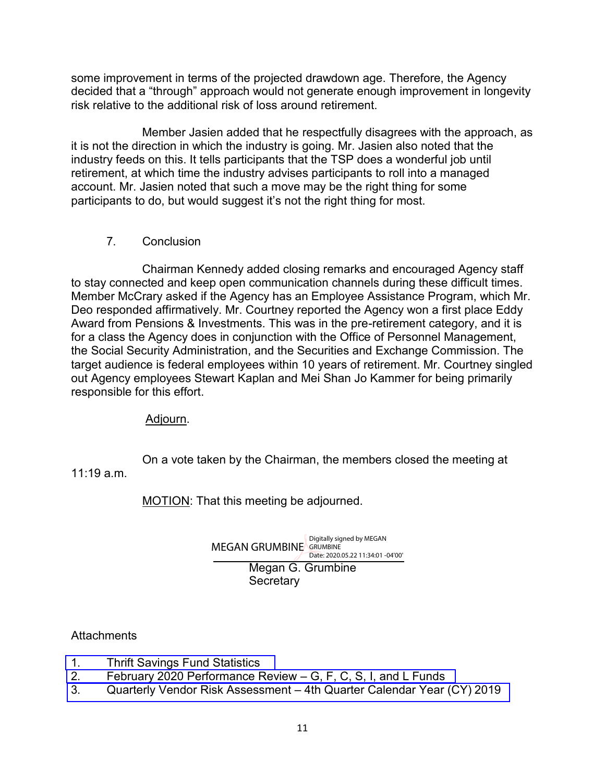some improvement in terms of the projected drawdown age. Therefore, the Agency decided that a "through" approach would not generate enough improvement in longevity risk relative to the additional risk of loss around retirement.

Member Jasien added that he respectfully disagrees with the approach, as it is not the direction in which the industry is going. Mr. Jasien also noted that the industry feeds on this. It tells participants that the TSP does a wonderful job until retirement, at which time the industry advises participants to roll into a managed account. Mr. Jasien noted that such a move may be the right thing for some participants to do, but would suggest it's not the right thing for most.

### 7. Conclusion

Chairman Kennedy added closing remarks and encouraged Agency staff to stay connected and keep open communication channels during these difficult times. Member McCrary asked if the Agency has an Employee Assistance Program, which Mr. Deo responded affirmatively. Mr. Courtney reported the Agency won a first place Eddy Award from Pensions & Investments. This was in the pre-retirement category, and it is for a class the Agency does in conjunction with the Office of Personnel Management, the Social Security Administration, and the Securities and Exchange Commission. The target audience is federal employees within 10 years of retirement. Mr. Courtney singled out Agency employees Stewart Kaplan and Mei Shan Jo Kammer for being primarily responsible for this effort.

Adjourn.

On a vote taken by the Chairman, the members closed the meeting at 11:19 a.m.

MOTION: That this meeting be adjourned.

Megan G. Grumbine **Secretary** MEGAN GRUMBINE GRUMBINE Digitally signed by MEGAN Date: 2020.05.22 11:34:01 -04'00'

# **Attachments**

- 1. [Thrift Savings Fund Statistics](https://www.frtib.gov/pdf/minutes/2020/Mar/MM-2020Mar-Att1.pdf)
- 2. [February 2020 Performance Review G, F, C, S, I, and L Funds](https://www.frtib.gov/pdf/minutes/2020/Mar/MM-2020Mar-Att2.pdf)
- 3. [Quarterly Vendor Risk Assessment 4th Quarter Calendar Year \(CY\) 2019](https://www.frtib.gov/pdf/minutes/2020/Mar/MM-2020Mar-Att3.pdf)